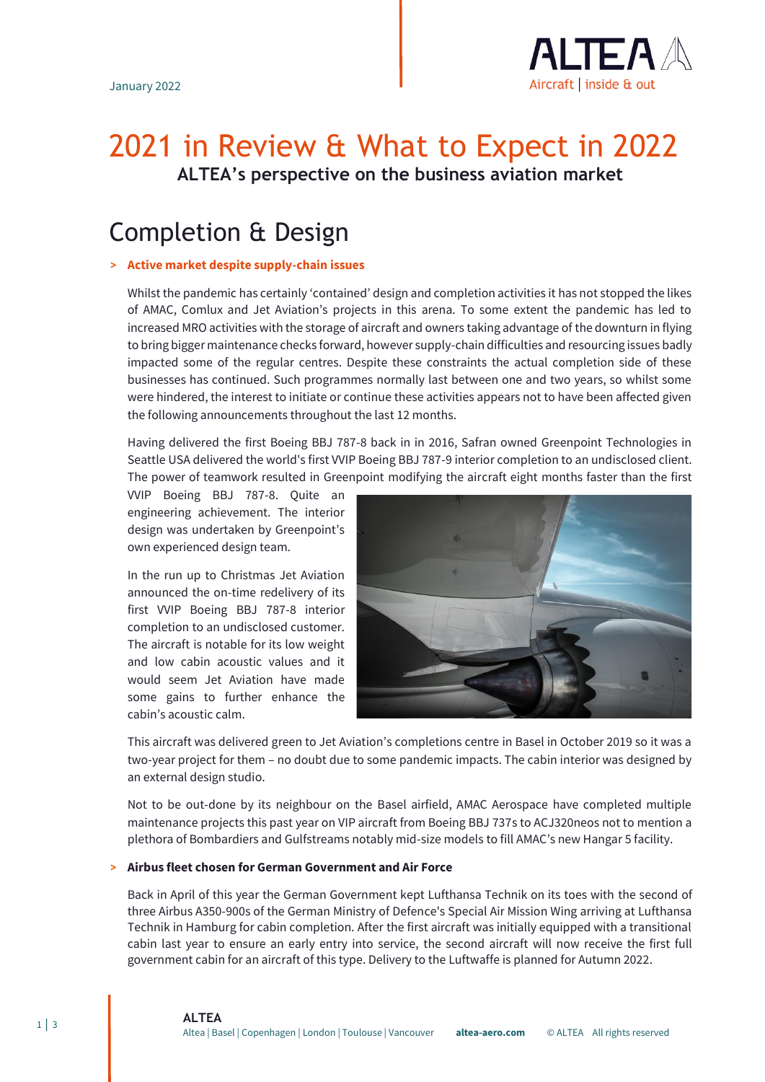

# 2021 in Review & What to Expect in 2022 **ALTEA's perspective on the business aviation market**

# Completion & Design

## **> Active market despite supply-chain issues**

Whilst the pandemic has certainly 'contained' design and completion activities it has not stopped the likes of AMAC, Comlux and Jet Aviation's projects in this arena. To some extent the pandemic has led to increased MRO activities with the storage of aircraft and owners taking advantage of the downturn in flying to bring bigger maintenance checks forward, however supply-chain difficulties and resourcing issues badly impacted some of the regular centres. Despite these constraints the actual completion side of these businesses has continued. Such programmes normally last between one and two years, so whilst some were hindered, the interest to initiate or continue these activities appears not to have been affected given the following announcements throughout the last 12 months.

Having delivered the first Boeing BBJ 787-8 back in in 2016, Safran owned Greenpoint Technologies in Seattle USA delivered the world's first VVIP Boeing BBJ 787-9 interior completion to an undisclosed client. The power of teamwork resulted in Greenpoint modifying the aircraft eight months faster than the first

VVIP Boeing BBJ 787-8. Quite an engineering achievement. The interior design was undertaken by Greenpoint's own experienced design team.

In the run up to Christmas Jet Aviation announced the on-time redelivery of its first VVIP Boeing BBJ 787-8 interior completion to an undisclosed customer. The aircraft is notable for its low weight and low cabin acoustic values and it would seem Jet Aviation have made some gains to further enhance the cabin's acoustic calm.



This aircraft was delivered green to Jet Aviation's completions centre in Basel in October 2019 so it was a two-year project for them – no doubt due to some pandemic impacts. The cabin interior was designed by an external design studio.

Not to be out-done by its neighbour on the Basel airfield, AMAC Aerospace have completed multiple maintenance projects this past year on VIP aircraft from Boeing BBJ 737s to ACJ320neos not to mention a plethora of Bombardiers and Gulfstreams notably mid-size models to fill AMAC's new Hangar 5 facility.

### **> Airbus fleet chosen for German Government and Air Force**

Back in April of this year the German Government kept Lufthansa Technik on its toes with the second of three Airbus A350-900s of the German Ministry of Defence's Special Air Mission Wing arriving at Lufthansa Technik in Hamburg for cabin completion. After the first aircraft was initially equipped with a transitional cabin last year to ensure an early entry into service, the second aircraft will now receive the first full government cabin for an aircraft of this type. Delivery to the Luftwaffe is planned for Autumn 2022.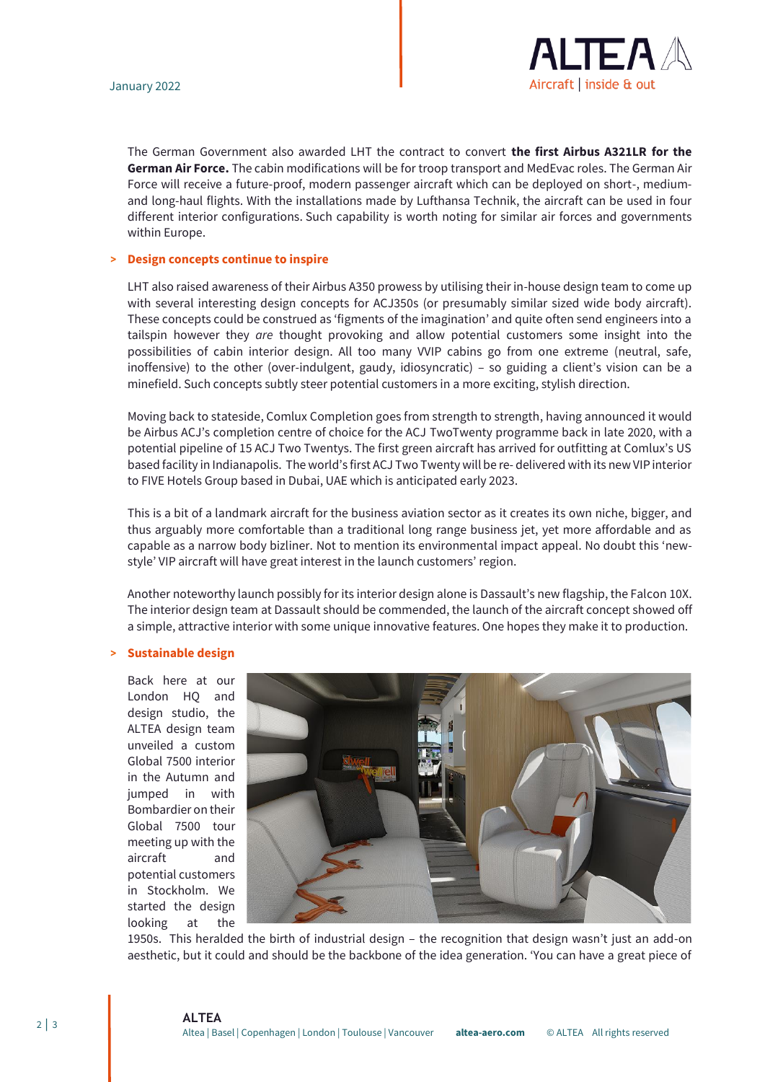

The German Government also awarded LHT the contract to convert **the first Airbus A321LR for the German Air Force.** The cabin modifications will be for troop transport and MedEvac roles. The German Air Force will receive a future-proof, modern passenger aircraft which can be deployed on short-, mediumand long-haul flights. With the installations made by Lufthansa Technik, the aircraft can be used in four different interior configurations. Such capability is worth noting for similar air forces and governments within Europe.

#### **> Design concepts continue to inspire**

LHT also raised awareness of their Airbus A350 prowess by utilising their in-house design team to come up with several interesting design concepts for ACJ350s (or presumably similar sized wide body aircraft). These concepts could be construed as 'figments of the imagination' and quite often send engineers into a tailspin however they *are* thought provoking and allow potential customers some insight into the possibilities of cabin interior design. All too many VVIP cabins go from one extreme (neutral, safe, inoffensive) to the other (over-indulgent, gaudy, idiosyncratic) – so guiding a client's vision can be a minefield. Such concepts subtly steer potential customers in a more exciting, stylish direction.

Moving back to stateside, Comlux Completion goes from strength to strength, having announced it would be Airbus ACJ's completion centre of choice for the ACJ TwoTwenty programme back in late 2020, with a potential pipeline of 15 ACJ Two Twentys. The first green aircraft has arrived for outfitting at Comlux's US based facility in Indianapolis. The world's first ACJ Two Twenty will be re- delivered with its new VIP interior to FIVE Hotels Group based in Dubai, UAE which is anticipated early 2023.

This is a bit of a landmark aircraft for the business aviation sector as it creates its own niche, bigger, and thus arguably more comfortable than a traditional long range business jet, yet more affordable and as capable as a narrow body bizliner. Not to mention its environmental impact appeal. No doubt this 'newstyle' VIP aircraft will have great interest in the launch customers' region.

Another noteworthy launch possibly for its interior design alone is Dassault's new flagship, the Falcon 10X. The interior design team at Dassault should be commended, the launch of the aircraft concept showed off a simple, attractive interior with some unique innovative features. One hopes they make it to production.

#### **> Sustainable design**

Back here at our London HQ and design studio, the ALTEA design team unveiled a custom Global 7500 interior in the Autumn and jumped in with Bombardier on their Global 7500 tour meeting up with the aircraft and potential customers in Stockholm. We started the design looking at the



1950s. This heralded the birth of industrial design – the recognition that design wasn't just an add-on aesthetic, but it could and should be the backbone of the idea generation. 'You can have a great piece of

**ALTEA** Altea | Basel | Copenhagen | London | Toulouse | Vancouver **altea-aero.com** © ALTEA All rights reserved